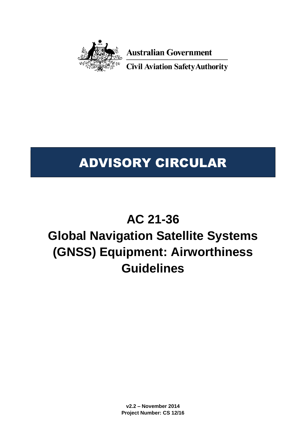

**Australian Government** 

**Civil Aviation Safety Authority** 

# ADVISORY CIRCULAR

# **AC 21-36**

# **Global Navigation Satellite Systems (GNSS) Equipment: Airworthiness Guidelines**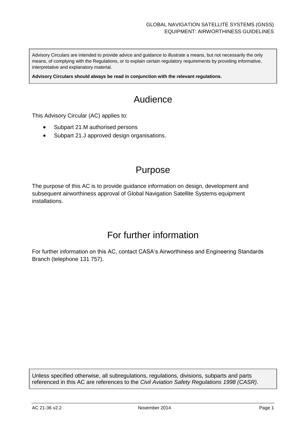Advisory Circulars are intended to provide advice and guidance to illustrate a means, but not necessarily the only means, of complying with the Regulations, or to explain certain regulatory requirements by providing informative, interpretative and explanatory material.

**Advisory Circulars should always be read in conjunction with the relevant regulations.**

## Audience

This Advisory Circular (AC) applies to:

- Subpart 21.M authorised persons
- Subpart 21.J approved design organisations.

## Purpose

The purpose of this AC is to provide guidance information on design, development and subsequent airworthiness approval of Global Navigation Satellite Systems equipment installations.

## For further information

For further information on this AC, contact CASA's Airworthiness and Engineering Standards Branch (telephone 131 757).

Unless specified otherwise, all subregulations, regulations, divisions, subparts and parts referenced in this AC are references to the *Civil Aviation Safety Regulations 1998 (CASR)*.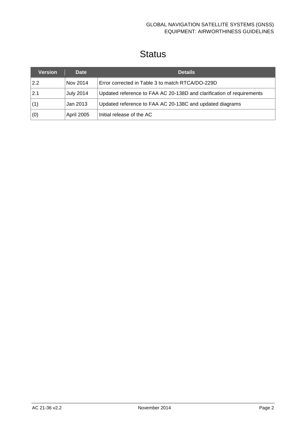## **Status**

| <b>Version</b> | <b>Date</b>      | <b>Details</b>                                                        |
|----------------|------------------|-----------------------------------------------------------------------|
| 2.2            | Nov 2014         | Error corrected in Table 3 to match RTCA/DO-229D                      |
| 2.1            | <b>July 2014</b> | Updated reference to FAA AC 20-138D and clarification of requirements |
| (1)            | Jan 2013         | Updated reference to FAA AC 20-138C and updated diagrams              |
| (0)            | April 2005       | Initial release of the AC                                             |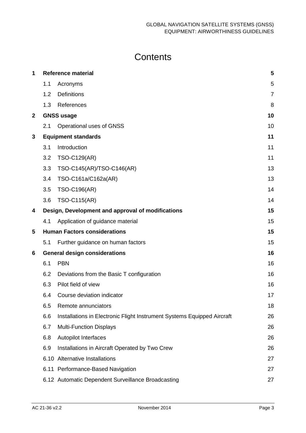## **Contents**

| 1           |     | <b>Reference material</b>                                               | 5              |
|-------------|-----|-------------------------------------------------------------------------|----------------|
|             | 1.1 | Acronyms                                                                | 5              |
|             | 1.2 | <b>Definitions</b>                                                      | $\overline{7}$ |
|             | 1.3 | References                                                              | 8              |
| $\mathbf 2$ |     | <b>GNSS usage</b>                                                       | 10             |
|             | 2.1 | Operational uses of GNSS                                                | 10             |
| 3           |     | <b>Equipment standards</b>                                              | 11             |
|             | 3.1 | Introduction                                                            | 11             |
|             | 3.2 | <b>TSO-C129(AR)</b>                                                     | 11             |
|             | 3.3 | TSO-C145(AR)/TSO-C146(AR)                                               | 13             |
|             | 3.4 | TSO-C161a/C162a(AR)                                                     | 13             |
|             | 3.5 | <b>TSO-C196(AR)</b>                                                     | 14             |
|             | 3.6 | <b>TSO-C115(AR)</b>                                                     | 14             |
| 4           |     | Design, Development and approval of modifications                       | 15             |
|             | 4.1 | Application of guidance material                                        | 15             |
| 5           |     | <b>Human Factors considerations</b>                                     | 15             |
|             | 5.1 | Further guidance on human factors                                       | 15             |
| 6           |     | <b>General design considerations</b>                                    | 16             |
|             | 6.1 | <b>PBN</b>                                                              | 16             |
|             | 6.2 | Deviations from the Basic T configuration                               | 16             |
|             | 6.3 | Pilot field of view                                                     | 16             |
|             | 6.4 | Course deviation indicator                                              | 17             |
|             | 6.5 | Remote annunciators                                                     | 18             |
|             | 6.6 | Installations in Electronic Flight Instrument Systems Equipped Aircraft | 26             |
|             | 6.7 | <b>Multi-Function Displays</b>                                          | 26             |
|             | 6.8 | <b>Autopilot Interfaces</b>                                             | 26             |
|             | 6.9 | Installations in Aircraft Operated by Two Crew                          | 26             |
|             |     | 6.10 Alternative Installations                                          | 27             |
|             |     | 6.11 Performance-Based Navigation                                       | 27             |
|             |     | 6.12 Automatic Dependent Surveillance Broadcasting                      | 27             |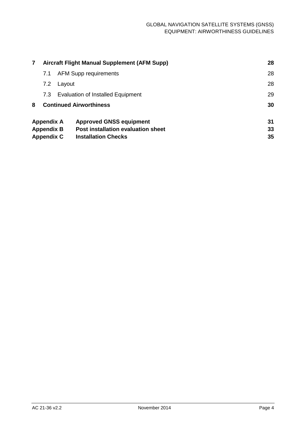| $\mathbf{7}$      | Aircraft Flight Manual Supplement (AFM Supp) | 28                                        |    |
|-------------------|----------------------------------------------|-------------------------------------------|----|
|                   | 7.1                                          | <b>AFM Supp requirements</b>              | 28 |
|                   | 7.2                                          | Layout                                    | 28 |
|                   | 7.3                                          | <b>Evaluation of Installed Equipment</b>  | 29 |
| 8                 |                                              | <b>Continued Airworthiness</b>            | 30 |
|                   | <b>Appendix A</b>                            | <b>Approved GNSS equipment</b>            | 31 |
|                   | <b>Appendix B</b>                            | <b>Post installation evaluation sheet</b> | 33 |
| <b>Appendix C</b> |                                              | <b>Installation Checks</b>                | 35 |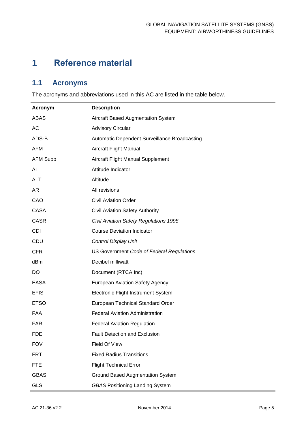## <span id="page-5-0"></span>**1 Reference material**

### <span id="page-5-1"></span>**1.1 Acronyms**

The acronyms and abbreviations used in this AC are listed in the table below.

| <b>Acronym</b>  | <b>Description</b>                            |
|-----------------|-----------------------------------------------|
| ABAS            | Aircraft Based Augmentation System            |
| AC              | <b>Advisory Circular</b>                      |
| ADS-B           | Automatic Dependent Surveillance Broadcasting |
| <b>AFM</b>      | Aircraft Flight Manual                        |
| <b>AFM Supp</b> | Aircraft Flight Manual Supplement             |
| Al              | Attitude Indicator                            |
| <b>ALT</b>      | Altitude                                      |
| AR              | All revisions                                 |
| CAO             | <b>Civil Aviation Order</b>                   |
| <b>CASA</b>     | Civil Aviation Safety Authority               |
| <b>CASR</b>     | Civil Aviation Safety Regulations 1998        |
| <b>CDI</b>      | <b>Course Deviation Indicator</b>             |
| CDU             | Control Display Unit                          |
| <b>CFR</b>      | US Government Code of Federal Regulations     |
| dBm             | Decibel milliwatt                             |
| DO              | Document (RTCA Inc)                           |
| <b>EASA</b>     | <b>European Aviation Safety Agency</b>        |
| <b>EFIS</b>     | Electronic Flight Instrument System           |
| <b>ETSO</b>     | European Technical Standard Order             |
| <b>FAA</b>      | <b>Federal Aviation Administration</b>        |
| <b>FAR</b>      | <b>Federal Aviation Regulation</b>            |
| <b>FDE</b>      | <b>Fault Detection and Exclusion</b>          |
| <b>FOV</b>      | Field Of View                                 |
| <b>FRT</b>      | <b>Fixed Radius Transitions</b>               |
| <b>FTE</b>      | <b>Flight Technical Error</b>                 |
| <b>GBAS</b>     | <b>Ground Based Augmentation System</b>       |
| <b>GLS</b>      | <b>GBAS Positioning Landing System</b>        |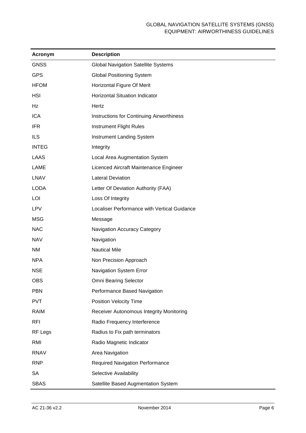| <b>Acronym</b> | <b>Description</b>                           |  |  |  |
|----------------|----------------------------------------------|--|--|--|
| <b>GNSS</b>    | <b>Global Navigation Satellite Systems</b>   |  |  |  |
| <b>GPS</b>     | <b>Global Positioning System</b>             |  |  |  |
| <b>HFOM</b>    | Horizontal Figure Of Merit                   |  |  |  |
| <b>HSI</b>     | Horizontal Situation Indicator               |  |  |  |
| Hz             | Hertz                                        |  |  |  |
| <b>ICA</b>     | Instructions for Continuing Airworthiness    |  |  |  |
| <b>IFR</b>     | Instrument Flight Rules                      |  |  |  |
| <b>ILS</b>     | Instrument Landing System                    |  |  |  |
| <b>INTEG</b>   | Integrity                                    |  |  |  |
| <b>LAAS</b>    | Local Area Augmentation System               |  |  |  |
| <b>LAME</b>    | Licenced Aircraft Maintenance Engineer       |  |  |  |
| <b>LNAV</b>    | <b>Lateral Deviation</b>                     |  |  |  |
| <b>LODA</b>    | Letter Of Deviation Authority (FAA)          |  |  |  |
| LOI            | Loss Of Integrity                            |  |  |  |
| <b>LPV</b>     | Localiser Performance with Vertical Guidance |  |  |  |
| <b>MSG</b>     | Message                                      |  |  |  |
| <b>NAC</b>     | Navigation Accuracy Category                 |  |  |  |
| <b>NAV</b>     | Navigation                                   |  |  |  |
| NM             | <b>Nautical Mile</b>                         |  |  |  |
| <b>NPA</b>     | Non Precision Approach                       |  |  |  |
| <b>NSE</b>     | Navigation System Error                      |  |  |  |
| <b>OBS</b>     | Omni Bearing Selector                        |  |  |  |
| <b>PBN</b>     | Performance Based Navigation                 |  |  |  |
| <b>PVT</b>     | <b>Position Velocity Time</b>                |  |  |  |
| <b>RAIM</b>    | Receiver Autonomous Integrity Monitoring     |  |  |  |
| <b>RFI</b>     | Radio Frequency Interference                 |  |  |  |
| RF Legs        | Radius to Fix path terminators               |  |  |  |
| RMI            | Radio Magnetic Indicator                     |  |  |  |
| <b>RNAV</b>    | Area Navigation                              |  |  |  |
| <b>RNP</b>     | <b>Required Navigation Performance</b>       |  |  |  |
| <b>SA</b>      | Selective Availability                       |  |  |  |
| <b>SBAS</b>    | Satellite Based Augmentation System          |  |  |  |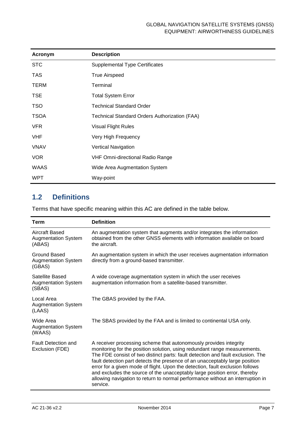| Acronym     | <b>Description</b>                                   |
|-------------|------------------------------------------------------|
| <b>STC</b>  | <b>Supplemental Type Certificates</b>                |
| <b>TAS</b>  | <b>True Airspeed</b>                                 |
| <b>TERM</b> | Terminal                                             |
| <b>TSE</b>  | <b>Total System Error</b>                            |
| <b>TSO</b>  | <b>Technical Standard Order</b>                      |
| <b>TSOA</b> | <b>Technical Standard Orders Authorization (FAA)</b> |
| <b>VFR</b>  | <b>Visual Flight Rules</b>                           |
| <b>VHF</b>  | Very High Frequency                                  |
| <b>VNAV</b> | Vertical Navigation                                  |
| <b>VOR</b>  | <b>VHF Omni-directional Radio Range</b>              |
| <b>WAAS</b> | Wide Area Augmentation System                        |
| <b>WPT</b>  | Way-point                                            |

#### <span id="page-7-0"></span>**1.2 Definitions**

Terms that have specific meaning within this AC are defined in the table below.

| <b>Term</b>                                             | <b>Definition</b>                                                                                                                                                                                                                                                                                                                                                                                                                                                                                                                                                            |  |  |
|---------------------------------------------------------|------------------------------------------------------------------------------------------------------------------------------------------------------------------------------------------------------------------------------------------------------------------------------------------------------------------------------------------------------------------------------------------------------------------------------------------------------------------------------------------------------------------------------------------------------------------------------|--|--|
| Aircraft Based<br><b>Augmentation System</b><br>(ABAS)  | An augmentation system that augments and/or integrates the information<br>obtained from the other GNSS elements with information available on board<br>the aircraft.                                                                                                                                                                                                                                                                                                                                                                                                         |  |  |
| Ground Based<br><b>Augmentation System</b><br>(GBAS)    | An augmentation system in which the user receives augmentation information<br>directly from a ground-based transmitter.                                                                                                                                                                                                                                                                                                                                                                                                                                                      |  |  |
| Satellite Based<br><b>Augmentation System</b><br>(SBAS) | A wide coverage augmentation system in which the user receives<br>augmentation information from a satellite-based transmitter.                                                                                                                                                                                                                                                                                                                                                                                                                                               |  |  |
| Local Area<br><b>Augmentation System</b><br>(LAAS)      | The GBAS provided by the FAA.                                                                                                                                                                                                                                                                                                                                                                                                                                                                                                                                                |  |  |
| Wide Area<br><b>Augmentation System</b><br>(WAAS)       | The SBAS provided by the FAA and is limited to continental USA only.                                                                                                                                                                                                                                                                                                                                                                                                                                                                                                         |  |  |
| <b>Fault Detection and</b><br>Exclusion (FDE)           | A receiver processing scheme that autonomously provides integrity<br>monitoring for the position solution, using redundant range measurements.<br>The FDE consist of two distinct parts: fault detection and fault exclusion. The<br>fault detection part detects the presence of an unacceptably large position<br>error for a given mode of flight. Upon the detection, fault exclusion follows<br>and excludes the source of the unacceptably large position error, thereby<br>allowing navigation to return to normal performance without an interruption in<br>service. |  |  |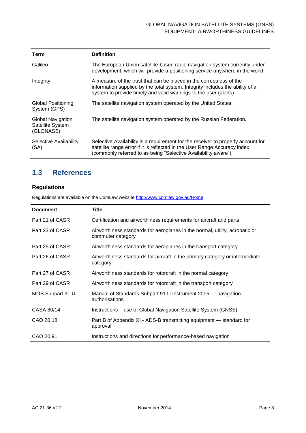| Term                                               | <b>Definition</b>                                                                                                                                                                                                                |
|----------------------------------------------------|----------------------------------------------------------------------------------------------------------------------------------------------------------------------------------------------------------------------------------|
| Galileo                                            | The European Union satellite-based radio navigation system currently under<br>development, which will provide a positioning service anywhere in the world.                                                                       |
| Integrity                                          | A measure of the trust that can be placed in the correctness of the<br>information supplied by the total system. Integrity includes the ability of a<br>system to provide timely and valid warnings to the user (alerts).        |
| <b>Global Positioning</b><br>System (GPS)          | The satellite navigation system operated by the United States.                                                                                                                                                                   |
| Global Navigation<br>Satellite System<br>(GLONASS) | The satellite navigation system operated by the Russian Federation.                                                                                                                                                              |
| Selective Availability<br>(SA)                     | Selective Availability is a requirement for the receiver to properly account for<br>satellite range error if it is reflected in the User Range Accuracy index<br>(commonly referred to as being "Selective Availability aware"). |

#### <span id="page-8-0"></span>**1.3 References**

#### **Regulations**

Regulations are available on the ComLaw website<http://www.comlaw.gov.au/Home>

| <b>Document</b>  | Title                                                                                            |  |  |  |  |
|------------------|--------------------------------------------------------------------------------------------------|--|--|--|--|
| Part 21 of CASR  | Certification and airworthiness requirements for aircraft and parts                              |  |  |  |  |
| Part 23 of CASR  | Airworthiness standards for aeroplanes in the normal, utility, acrobatic or<br>commuter category |  |  |  |  |
| Part 25 of CASR  | Airworthiness standards for aeroplanes in the transport category                                 |  |  |  |  |
| Part 26 of CASR  | Airworthiness standards for aircraft in the primary category or intermediate<br>category         |  |  |  |  |
| Part 27 of CASR  | Airworthiness standards for rotorcraft in the normal category                                    |  |  |  |  |
| Part 29 of CASR  | Airworthiness standards for rotorcraft in the transport category                                 |  |  |  |  |
| MOS Subpart 91.U | Manual of Standards Subpart 91.U Instrument 2005 - navigation<br>authorisations                  |  |  |  |  |
| CASA 80/14       | Instructions – use of Global Navigation Satellite System (GNSS)                                  |  |  |  |  |
| CAO 20.18        | Part B of Appendix XI - ADS-B transmitting equipment — standard for<br>approval                  |  |  |  |  |
| CAO 20.91        | Instructions and directions for performance-based navigation                                     |  |  |  |  |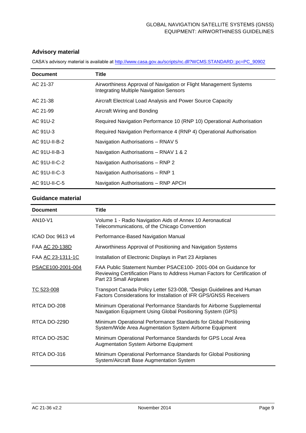#### **Advisory material**

| <b>Document</b> | Title                                                                                                               |
|-----------------|---------------------------------------------------------------------------------------------------------------------|
| AC 21-37        | Airworthiness Approval of Navigation or Flight Management Systems<br><b>Integrating Multiple Navigation Sensors</b> |
| AC 21-38        | Aircraft Electrical Load Analysis and Power Source Capacity                                                         |
| AC 21-99        | Aircraft Wiring and Bonding                                                                                         |
| AC 91U-2        | Required Navigation Performance 10 (RNP 10) Operational Authorisation                                               |
| AC 91U-3        | Required Navigation Performance 4 (RNP 4) Operational Authorisation                                                 |
| AC 91U-II-B-2   | Navigation Authorisations - RNAV 5                                                                                  |
| AC 91U-II-B-3   | Navigation Authorisations - RNAV 1 & 2                                                                              |
| AC 91U-II-C-2   | Navigation Authorisations – RNP 2                                                                                   |
| AC 91U-II-C-3   | Navigation Authorisations - RNP 1                                                                                   |
| AC 91U-II-C-5   | Navigation Authorisations - RNP APCH                                                                                |

CASA's advisory material is available at [http://www.casa.gov.au/scripts/nc.dll?WCMS:STANDARD::pc=PC\\_90902](http://www.casa.gov.au/scripts/nc.dll?WCMS:STANDARD::pc=PC_90902)

#### **Guidance material**

| <b>Document</b>   | Title                                                                                                                                                                   |
|-------------------|-------------------------------------------------------------------------------------------------------------------------------------------------------------------------|
| AN10-V1           | Volume 1 - Radio Navigation Aids of Annex 10 Aeronautical<br>Telecommunications, of the Chicago Convention                                                              |
| ICAO Doc 9613 v4  | Performance-Based Navigation Manual                                                                                                                                     |
| FAA AC 20-138D    | Airworthiness Approval of Positioning and Navigation Systems                                                                                                            |
| FAA AC 23-1311-1C | Installation of Electronic Displays in Part 23 Airplanes                                                                                                                |
| PSACE100-2001-004 | FAA Public Statement Number PSACE100-2001-004 on Guidance for<br>Reviewing Certification Plans to Address Human Factors for Certification of<br>Part 23 Small Airplanes |
| TC 523-008        | Transport Canada Policy Letter 523-008, "Design Guidelines and Human<br><b>Factors Considerations for Installation of IFR GPS/GNSS Receivers</b>                        |
| RTCA DO-208       | Minimum Operational Performance Standards for Airborne Supplemental<br>Navigation Equipment Using Global Positioning System (GPS)                                       |
| RTCA DO-229D      | Minimum Operational Performance Standards for Global Positioning<br>System/Wide Area Augmentation System Airborne Equipment                                             |
| RTCA DO-253C      | Minimum Operational Performance Standards for GPS Local Area<br><b>Augmentation System Airborne Equipment</b>                                                           |
| RTCA DO-316       | Minimum Operational Performance Standards for Global Positioning<br>System/Aircraft Base Augmentation System                                                            |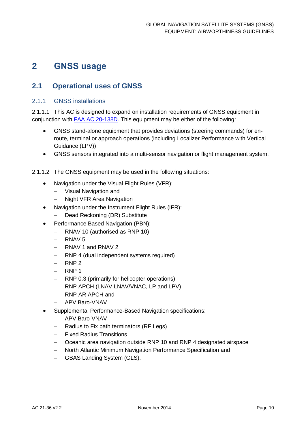## <span id="page-10-0"></span>**2 GNSS usage**

#### <span id="page-10-1"></span>**2.1 Operational uses of GNSS**

#### 2.1.1 GNSS installations

2.1.1.1 This AC is designed to expand on installation requirements of GNSS equipment in conjunction with [FAA AC 20-138D.](http://rgl.faa.gov/Regulatory_and_Guidance_Library/rgAdvisoryCircular.nsf/0/87bee4061f1c8d4086257caf006b0c2c/$FILE/20-138D.pdf) This equipment may be either of the following:

- GNSS stand-alone equipment that provides deviations (steering commands) for enroute, terminal or approach operations (including Localizer Performance with Vertical Guidance (LPV))
- GNSS sensors integrated into a multi-sensor navigation or flight management system.
- 2.1.1.2 The GNSS equipment may be used in the following situations:
	- Navigation under the Visual Flight Rules (VFR):
		- Visual Navigation and
		- Night VFR Area Navigation
	- Navigation under the Instrument Flight Rules (IFR):
		- Dead Reckoning (DR) Substitute
	- Performance Based Navigation (PBN):
		- RNAV 10 (authorised as RNP 10)
		- RNAV 5
		- RNAV 1 and RNAV 2
		- RNP 4 (dual independent systems required)
		- RNP 2
		- RNP 1
		- RNP 0.3 (primarily for helicopter operations)
		- RNP APCH (LNAV, LNAV/VNAC, LP and LPV)
		- RNP AR APCH and
		- APV Baro-VNAV
	- Supplemental Performance-Based Navigation specifications:
		- APV Baro-VNAV
		- Radius to Fix path terminators (RF Legs)
		- Fixed Radius Transitions
		- Oceanic area navigation outside RNP 10 and RNP 4 designated airspace
		- North Atlantic Minimum Navigation Performance Specification and
		- GBAS Landing System (GLS).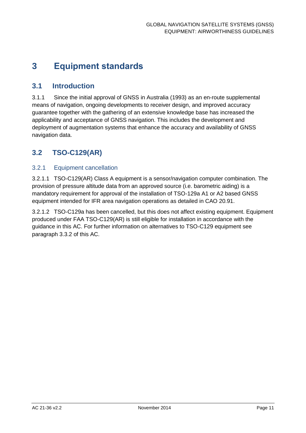## <span id="page-11-0"></span>**3 Equipment standards**

#### <span id="page-11-1"></span>**3.1 Introduction**

3.1.1 Since the initial approval of GNSS in Australia (1993) as an en-route supplemental means of navigation, ongoing developments to receiver design, and improved accuracy guarantee together with the gathering of an extensive knowledge base has increased the applicability and acceptance of GNSS navigation. This includes the development and deployment of augmentation systems that enhance the accuracy and availability of GNSS navigation data.

### <span id="page-11-2"></span>**3.2 TSO-C129(AR)**

#### 3.2.1 Equipment cancellation

3.2.1.1 TSO-C129(AR) Class A equipment is a sensor/navigation computer combination. The provision of pressure altitude data from an approved source (i.e. barometric aiding) is a mandatory requirement for approval of the installation of TSO-129a A1 or A2 based GNSS equipment intended for IFR area navigation operations as detailed in CAO 20.91.

3.2.1.2 TSO-C129a has been cancelled, but this does not affect existing equipment. Equipment produced under FAA TSO-C129(AR) is still eligible for installation in accordance with the guidance in this AC. For further information on alternatives to TSO-C129 equipment see paragraph [3.3.2](#page-13-1) of this AC.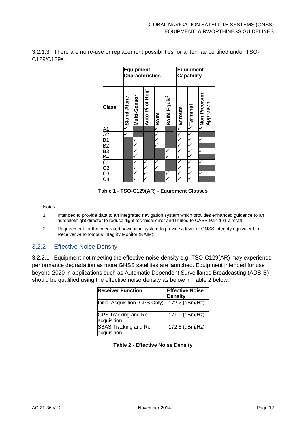3.2.1.3 There are no re-use or replacement possibilities for antennae certified under TSO-C129/C129a.

|                              | <b>Equipment</b><br><b>Characteristics</b> |                     |                       |             | <b>Equipment</b><br><b>Capability</b> |                           |          |                           |
|------------------------------|--------------------------------------------|---------------------|-----------------------|-------------|---------------------------------------|---------------------------|----------|---------------------------|
| <b>Class</b>                 | Stand Alone                                | <b>Multi-Sensor</b> | <b>Auto Pilot Req</b> | $\leq$ RAIM | RAIM Equiv                            | $\overline{\leq}$ Enroute | Terminal | Non Precision<br>Approach |
|                              |                                            |                     |                       |             |                                       |                           |          | $\checkmark$              |
|                              |                                            |                     |                       |             |                                       | $\overline{\check{}}$     |          |                           |
|                              |                                            |                     |                       |             |                                       | $\overline{\check{}}$     |          |                           |
|                              |                                            |                     |                       |             |                                       | $\overline{\mathbf{v}}$   |          |                           |
|                              |                                            |                     |                       |             | ✓                                     |                           |          |                           |
|                              |                                            |                     |                       |             | ✓                                     | $\overline{\check{}}$     |          |                           |
|                              |                                            | ✓                   | ✓                     |             |                                       | $\checkmark$              |          | ✓                         |
|                              |                                            |                     | ✓                     |             |                                       | $\checkmark$              |          |                           |
| <u>A A B B B B C C C C A</u> |                                            | ✓                   | ✓                     |             | ✓                                     | v                         |          | v                         |
|                              |                                            |                     |                       |             |                                       |                           |          |                           |

**Table 1 - TSO-C129(AR) - Equipment Classes**

Notes:

- 1. Intended to provide data to an integrated navigation system which provides enhanced guidance to an autopilot/flight director to reduce flight technical error and limited to CASR Part 121 aircraft.
- 2. Requirement for the integrated navigation system to provide a level of GNSS integrity equivalent to Receiver Autonomous Integrity Monitor (RAIM).

#### 3.2.2 Effective Noise Density

3.2.2.1 Equipment not meeting the effective noise density e.g. TSO-C129(AR) may experience performance degradation as more GNSS satellites are launched. Equipment intended for use beyond 2020 in applications such as Automatic Dependent Surveillance Broadcasting (ADS-B) should be qualified using the effective noise density as below in Table 2 below.

| <b>Receiver Function</b>             | <b>Effective Noise</b><br><b>Density</b> |
|--------------------------------------|------------------------------------------|
| Initial Acquisition (GPS Only)       | $-172.2$ (dBm/Hz)                        |
| GPS Tracking and Re-<br>acquisition  | -171.9 (dBm/Hz)                          |
| SBAS Tracking and Re-<br>acquisition | $-172.8$ (dBm/Hz)                        |

<span id="page-12-0"></span>

|  |  | <b>Table 2 - Effective Noise Density</b> |  |  |
|--|--|------------------------------------------|--|--|
|--|--|------------------------------------------|--|--|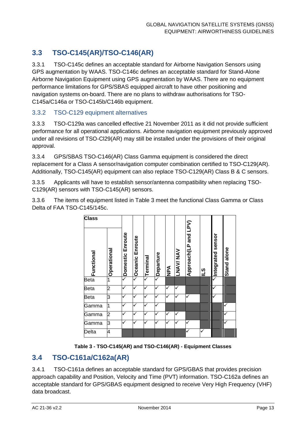### **3.3 TSO-C145(AR)/TSO-C146(AR)**

3.3.1 TSO-C145c defines an acceptable standard for Airborne Navigation Sensors using GPS augmentation by WAAS. TSO-C146c defines an acceptable standard for Stand-Alone Airborne Navigation Equipment using GPS augmentation by WAAS. There are no equipment performance limitations for GPS/SBAS equipped aircraft to have other positioning and navigation systems on-board. There are no plans to withdraw authorisations for TSO-C145a/C146a or TSO-C145b/C146b equipment.

#### <span id="page-13-1"></span>3.3.2 TSO-C129 equipment alternatives

3.3.3 TSO-C129a was cancelled effective 21 November 2011 as it did not provide sufficient performance for all operational applications. Airborne navigation equipment previously approved under all revisions of TSO-Cl29(AR) may still be installed under the provisions of their original approval.

3.3.4 GPS/SBAS TSO-C146(AR) Class Gamma equipment is considered the direct replacement for a Class A sensor/navigation computer combination certified to TSO-C129(AR). Additionally, TSO-C145(AR) equipment can also replace TSO-C129(AR) Class B & C sensors.

3.3.5 Applicants will have to establish sensor/antenna compatibility when replacing TSO-C129(AR) sensors with TSO-C145(AR) sensors.

3.3.6 The items of equipment listed in Table 3 meet the functional Class Gamma or Class Delta of FAA TSO-C145/145c.



**Table 3 - TSO-C145(AR) and TSO-C146(AR) - Equipment Classes**

#### <span id="page-13-0"></span>**3.4 TSO-C161a/C162a(AR)**

3.4.1 TSO-C161a defines an acceptable standard for GPS/GBAS that provides precision approach capability and Position, Velocity and Time (PVT) information. TSO-C162a defines an acceptable standard for GPS/GBAS equipment designed to receive Very High Frequency (VHF) data broadcast.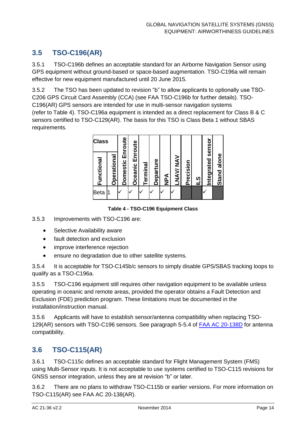### <span id="page-14-0"></span>**3.5 TSO-C196(AR)**

3.5.1 TSO-C196b defines an acceptable standard for an Airborne Navigation Sensor using GPS equipment without ground-based or space-based augmentation. TSO-C196a will remain effective for new equipment manufactured until 20 June 2015.

3.5.2 The TSO has been updated to revision "b" to allow applicants to optionally use TSO-C206 GPS Circuit Card Assembly (CCA) (see FAA TSO-C196b for further details). TSO-C196(AR) GPS sensors are intended for use in multi-sensor navigation systems

(refer to Table 4). TSO-C196a equipment is intended as a direct replacement for Class B & C sensors certified to TSO-C129(AR). The basis for this TSO is Class Beta 1 without SBAS requirements.



**Table 4 - TSO-C196 Equipment Class**

3.5.3 Improvements with TSO-C196 are:

- Selective Availability aware
- fault detection and exclusion
- improve interference rejection
- ensure no degradation due to other satellite systems.

3.5.4 It is acceptable for TSO-C145b/c sensors to simply disable GPS/SBAS tracking loops to qualify as a TSO-C196a.

3.5.5 TSO-C196 equipment still requires other navigation equipment to be available unless operating in oceanic and remote areas, provided the operator obtains a Fault Detection and Exclusion (FDE) prediction program. These limitations must be documented in the installation/instruction manual.

3.5.6 Applicants will have to establish sensor/antenna compatibility when replacing TSO-129(AR) sensors with TSO-C196 sensors. See paragraph 5-5.4 of FAA AC [20-138D](http://rgl.faa.gov/Regulatory_and_Guidance_Library/rgAdvisoryCircular.nsf/0/87bee4061f1c8d4086257caf006b0c2c/$FILE/20-138D.pdf) for antenna compatibility.

#### <span id="page-14-1"></span>**3.6 TSO-C115(AR)**

3.6.1 TSO-C115c defines an acceptable standard for Flight Management System (FMS) using Multi-Sensor inputs. It is not acceptable to use systems certified to TSO-C115 revisions for GNSS sensor integration, unless they are at revision "b" or later.

3.6.2 There are no plans to withdraw TSO-C115b or earlier versions. For more information on TSO-C115(AR) see FAA AC 20-138(AR).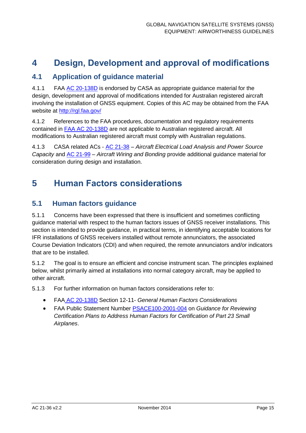## <span id="page-15-0"></span>**4 Design, Development and approval of modifications**

#### <span id="page-15-1"></span>**4.1 Application of guidance material**

4.1.1 FAA [AC 20-138D](http://rgl.faa.gov/Regulatory_and_Guidance_Library/rgAdvisoryCircular.nsf/0/87bee4061f1c8d4086257caf006b0c2c/$FILE/20-138D.pdf) is endorsed by CASA as appropriate guidance material for the design, development and approval of modifications intended for Australian registered aircraft involving the installation of GNSS equipment. Copies of this AC may be obtained from the FAA website at<http://rgl.faa.gov/>

4.1.2 References to the FAA procedures, documentation and regulatory requirements contained in [FAA AC 20-138D](http://rgl.faa.gov/Regulatory_and_Guidance_Library/rgAdvisoryCircular.nsf/0/87bee4061f1c8d4086257caf006b0c2c/$FILE/20-138D.pdf) are not applicable to Australian registered aircraft. All modifications to Australian registered aircraft must comply with Australian regulations.

4.1.3 CASA related ACs - [AC 21-38](http://www.casa.gov.au/wcmswr/_assets/main/rules/1998casr/021/021c38.pdf) – *Aircraft Electrical Load Analysis and Power Source Capacity* and [AC 21-99](http://casa.gov.au/scripts/nc.dll?WCMS:STANDARD:521912480:pc=PC_91003) – *Aircraft Wiring and Bonding* provide additional guidance material for consideration during design and installation.

### <span id="page-15-2"></span>**5 Human Factors considerations**

#### <span id="page-15-3"></span>**5.1 Human factors guidance**

5.1.1 Concerns have been expressed that there is insufficient and sometimes conflicting guidance material with respect to the human factors issues of GNSS receiver installations. This section is intended to provide guidance, in practical terms, in identifying acceptable locations for IFR installations of GNSS receivers installed without remote annunciators, the associated Course Deviation Indicators (CDI) and when required, the remote annunciators and/or indicators that are to be installed.

5.1.2 The goal is to ensure an efficient and concise instrument scan. The principles explained below, whilst primarily aimed at installations into normal category aircraft, may be applied to other aircraft.

5.1.3 For further information on human factors considerations refer to:

- FAA [AC 20-138D](http://rgl.faa.gov/Regulatory_and_Guidance_Library/rgAdvisoryCircular.nsf/0/87bee4061f1c8d4086257caf006b0c2c/$FILE/20-138D.pdf) Section 12-11- *General Human Factors Considerations*
- FAA Public Statement Number [PSACE100-2001-004](http://rgl.faa.gov/Regulatory_and_Guidance_Library/rgPolicy.nsf/0/ad52dc6379f1e4e786256c40004a0128/$FILE/polmen.pdf) on *Guidance for Reviewing Certification Plans to Address Human Factors for Certification of Part 23 Small Airplanes*.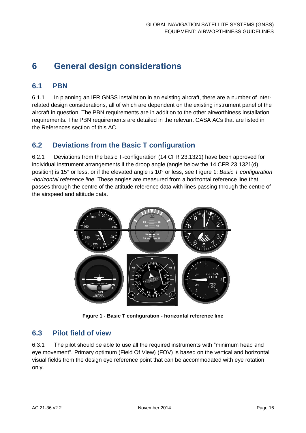## <span id="page-16-0"></span>**6 General design considerations**

#### <span id="page-16-1"></span>**6.1 PBN**

6.1.1 In planning an IFR GNSS installation in an existing aircraft, there are a number of interrelated design considerations, all of which are dependent on the existing instrument panel of the aircraft in question. The PBN requirements are in addition to the other airworthiness installation requirements. The PBN requirements are detailed in the relevant CASA ACs that are listed in the References section of this AC.

#### <span id="page-16-2"></span>**6.2 Deviations from the Basic T configuration**

6.2.1 Deviations from the basic T-configuration (14 CFR 23.1321) have been approved for individual instrument arrangements if the droop angle (angle below the 14 CFR 23.1321(d) position) is 15° or less, or if the elevated angle is 10° or less, see [Figure 1:](#page-16-4) *Basic T configuration -horizontal reference line.* These angles are measured from a horizontal reference line that passes through the centre of the attitude reference data with lines passing through the centre of the airspeed and altitude data.



**Figure 1 - Basic T configuration - horizontal reference line**

#### <span id="page-16-4"></span><span id="page-16-3"></span>**6.3 Pilot field of view**

6.3.1 The pilot should be able to use all the required instruments with "minimum head and eye movement". Primary optimum (Field Of View) (FOV) is based on the vertical and horizontal visual fields from the design eye reference point that can be accommodated with eye rotation only.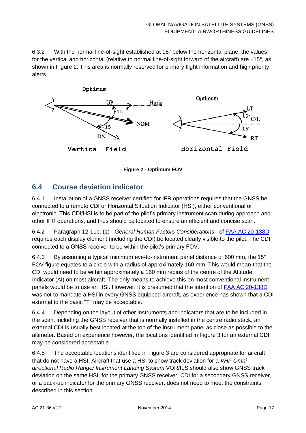6.3.2 With the normal line-of-sight established at 15° below the horizontal plane, the values for the vertical and horizontal (relative to normal line-of-sight forward of the aircraft) are  $\pm 15^{\circ}$ , as shown in [Figure 2.](#page-17-1) This area is normally reserved for primary flight information and high priority alerts.



**Figure 2 - Optimum FOV**

#### <span id="page-17-1"></span><span id="page-17-0"></span>**6.4 Course deviation indicator**

6.4.1 Installation of a GNSS receiver certified for IFR operations requires that the GNSS be connected to a remote CDI or Horizontal Situation Indicator (HSI), either conventional or electronic. This CDI/HSI is to be part of the pilot's primary instrument scan during approach and other IFR operations, and thus should be located to ensure an efficient and concise scan.

6.4.2 Paragraph 12-11b. (1) - *General Human Factors Considerations* - of [FAA AC 20-138D,](http://rgl.faa.gov/Regulatory_and_Guidance_Library/rgAdvisoryCircular.nsf/0/87bee4061f1c8d4086257caf006b0c2c/$FILE/20-138D.pdf) requires each display element (including the CDI) be located clearly visible to the pilot. The CDI connected to a GNSS receiver to be within the pilot's primary FOV.

6.4.3 By assuming a typical minimum eye-to-instrument panel distance of 600 mm, the 15° FOV figure equates to a circle with a radius of approximately 160 mm. This would mean that the CDI would need to be within approximately a 160 mm radius of the centre of the Attitude Indicator (AI) on most aircraft. The only means to achieve this on most conventional instrument panels would be to use an HSI. However, it is presumed that the intention of [FAA AC 20-138D](http://rgl.faa.gov/Regulatory_and_Guidance_Library/rgAdvisoryCircular.nsf/0/87bee4061f1c8d4086257caf006b0c2c/$FILE/20-138D.pdf) was not to mandate a HSI in every GNSS equipped aircraft, as experience has shown that a CDI external to the basic "T" may be acceptable.

6.4.4 Depending on the layout of other instruments and indicators that are to be included in the scan, including the GNSS receiver that is normally installed in the centre radio stack, an external CDI is usually best located at the top of the instrument panel as close as possible to the altimeter. Based on experience however, the locations identified in [Figure 3](#page-18-1) for an external CDI may be considered acceptable.

6.4.5 The acceptable locations identified in [Figure 3](#page-18-1) are considered appropriate for aircraft that do not have a HSI. Aircraft that use a HSI to show track deviation for a *VHF Omnidirectional Radio Range/ Instrument Landing System* VOR/ILS should also show GNSS track deviation on the same HSI, for the primary GNSS receiver. CDI for a secondary GNSS receiver, or a back-up indicator for the primary GNSS receiver, does not need to meet the constraints described in this section.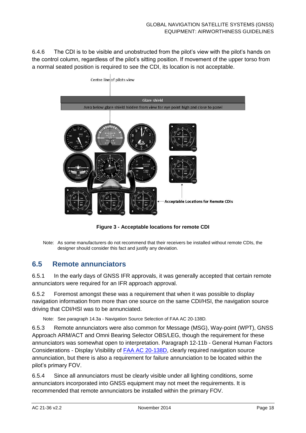6.4.6 The CDI is to be visible and unobstructed from the pilot's view with the pilot's hands on the control column, regardless of the pilot's sitting position. If movement of the upper torso from a normal seated position is required to see the CDI, its location is not acceptable.



**Figure 3 - Acceptable locations for remote CDI**

#### <span id="page-18-0"></span>**6.5 Remote annunciators**

6.5.1 In the early days of GNSS IFR approvals, it was generally accepted that certain remote annunciators were required for an IFR approach approval.

6.5.2 Foremost amongst these was a requirement that when it was possible to display navigation information from more than one source on the same CDI/HSI, the navigation source driving that CDI/HSI was to be annunciated.

Note: See paragraph 14.3a - Navigation Source Selection of FAA AC 20-138D*.*

6.5.3 Remote annunciators were also common for Message (MSG), Way-point (WPT), GNSS Approach ARM/ACT and Omni Bearing Selector OBS/LEG, though the requirement for these annunciators was somewhat open to interpretation. Paragraph 12-11b - General Human Factors Considerations - Display Visibility of [FAA AC 20-138D,](http://rgl.faa.gov/Regulatory_and_Guidance_Library/rgAdvisoryCircular.nsf/0/87bee4061f1c8d4086257caf006b0c2c/$FILE/20-138D.pdf) clearly required navigation source annunciation, but there is also a requirement for failure annunciation to be located within the pilot's primary FOV.

6.5.4 Since all annunciators must be clearly visible under all lighting conditions, some annunciators incorporated into GNSS equipment may not meet the requirements. It is recommended that remote annunciators be installed within the primary FOV.

<span id="page-18-1"></span>Note: As some manufacturers do not recommend that their receivers be installed without remote CDIs, the designer should consider this fact and justify any deviation.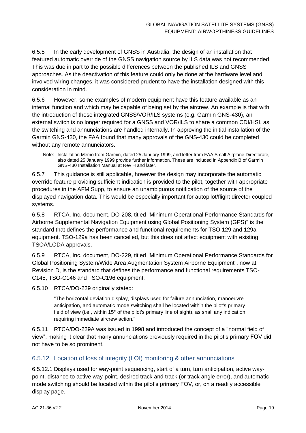6.5.5 In the early development of GNSS in Australia, the design of an installation that featured automatic override of the GNSS navigation source by ILS data was not recommended. This was due in part to the possible differences between the published ILS and GNSS approaches. As the deactivation of this feature could only be done at the hardware level and involved wiring changes, it was considered prudent to have the installation designed with this consideration in mind.

6.5.6 However, some examples of modern equipment have this feature available as an internal function and which may be capable of being set by the aircrew. An example is that with the introduction of these integrated GNSS/VOR/ILS systems (e.g. Garmin GNS-430), an external switch is no longer required for a GNSS and VOR/ILS to share a common CDI/HSI, as the switching and annunciations are handled internally. In approving the initial installation of the Garmin GNS-430, the FAA found that many approvals of the GNS-430 could be completed without any remote annunciators.

Note: Installation Memo from Garmin, dated 25 January 1999, and letter from FAA Small Airplane Directorate, also dated 25 January 1999 provide further information. These are included in Appendix B of Garmin GNS-430 Installation Manual at Rev H and later.

6.5.7 This guidance is still applicable, however the design may incorporate the automatic override feature providing sufficient indication is provided to the pilot, together with appropriate procedures in the AFM Supp, to ensure an unambiguous notification of the source of the displayed navigation data. This would be especially important for autopilot/flight director coupled systems.

6.5.8 RTCA, Inc. document, DO-208, titled "Minimum Operational Performance Standards for Airborne Supplemental Navigation Equipment using Global Positioning System (GPS)" is the standard that defines the performance and functional requirements for TSO 129 and 129a equipment. TSO-129a has been cancelled, but this does not affect equipment with existing TSOA/LODA approvals.

6.5.9 RTCA, Inc. document, DO-229, titled "Minimum Operational Performance Standards for Global Positioning System/Wide Area Augmentation System Airborne Equipment", now at Revision D, is the standard that defines the performance and functional requirements TSO-C145, TSO-C146 and TSO-C196 equipment.

6.5.10 RTCA/DO-229 originally stated:

"The horizontal deviation display, displays used for failure annunciation, manoeuvre anticipation, and automatic mode switching shall be located within the pilot's primary field of view (i.e., within 15° of the pilot's primary line of sight), as shall any indication requiring immediate aircrew action."

6.5.11 RTCA/DO-229A was issued in 1998 and introduced the concept of a "normal field of view", making it clear that many annunciations previously required in the pilot's primary FOV did not have to be so prominent.

#### 6.5.12 Location of loss of integrity (LOI) monitoring & other annunciations

6.5.12.1 Displays used for way-point sequencing, start of a turn, turn anticipation, active waypoint, distance to active way-point, desired track and track (or track angle error), and automatic mode switching should be located within the pilot's primary FOV, or, on a readily accessible display page.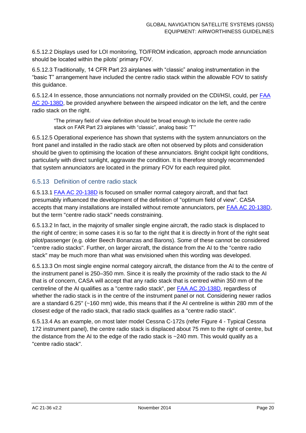6.5.12.2 Displays used for LOI monitoring, TO/FROM indication, approach mode annunciation should be located within the pilots' primary FOV.

6.5.12.3 Traditionally, 14 CFR Part 23 airplanes with "classic" analog instrumentation in the "basic T" arrangement have included the centre radio stack within the allowable FOV to satisfy this guidance.

6.5.12.4 In essence, those annunciations not normally provided on the CDI/HSI, could, per **FAA** [AC 20-138D,](http://rgl.faa.gov/Regulatory_and_Guidance_Library/rgAdvisoryCircular.nsf/0/87bee4061f1c8d4086257caf006b0c2c/$FILE/20-138D.pdf) be provided anywhere between the airspeed indicator on the left, and the centre radio stack on the right.

"The primary field of view definition should be broad enough to include the centre radio stack on FAR Part 23 airplanes with "classic", analog basic 'T'"

6.5.12.5 Operational experience has shown that systems with the system annunciators on the front panel and installed in the radio stack are often not observed by pilots and consideration should be given to optimising the location of these annunciators. Bright cockpit light conditions, particularly with direct sunlight, aggravate the condition. It is therefore strongly recommended that system annunciators are located in the primary FOV for each required pilot.

#### 6.5.13 Definition of centre radio stack

6.5.13.1 [FAA AC 20-138D](http://rgl.faa.gov/Regulatory_and_Guidance_Library/rgAdvisoryCircular.nsf/0/87bee4061f1c8d4086257caf006b0c2c/$FILE/20-138D.pdf) is focused on smaller normal category aircraft, and that fact presumably influenced the development of the definition of "optimum field of view". CASA accepts that many installations are installed without remote annunciators, per [FAA AC 20-138D,](http://rgl.faa.gov/Regulatory_and_Guidance_Library/rgAdvisoryCircular.nsf/0/87bee4061f1c8d4086257caf006b0c2c/$FILE/20-138D.pdf) but the term "centre radio stack" needs constraining.

6.5.13.2 In fact, in the majority of smaller single engine aircraft, the radio stack is displaced to the right of centre; in some cases it is so far to the right that it is directly in front of the right seat pilot/passenger (e.g. older Beech Bonanzas and Barons). Some of these cannot be considered "centre radio stacks". Further, on larger aircraft, the distance from the AI to the "centre radio stack" may be much more than what was envisioned when this wording was developed.

6.5.13.3 On most single engine normal category aircraft, the distance from the AI to the centre of the instrument panel is 250–350 mm. Since it is really the proximity of the radio stack to the AI that is of concern, CASA will accept that any radio stack that is centred within 350 mm of the centreline of the AI qualifies as a "centre radio stack", per [FAA AC 20-138D,](http://rgl.faa.gov/Regulatory_and_Guidance_Library/rgAdvisoryCircular.nsf/0/87bee4061f1c8d4086257caf006b0c2c/$FILE/20-138D.pdf) regardless of whether the radio stack is in the centre of the instrument panel or not. Considering newer radios are a standard 6.25" (~160 mm) wide, this means that if the AI centreline is within 280 mm of the closest edge of the radio stack, that radio stack qualifies as a "centre radio stack".

6.5.13.4 As an example, on most later model Cessna C-172s (refer Figure 4 - [Typical Cessna](#page-21-0)  [172 instrument panel\)](#page-21-0), the centre radio stack is displaced about 75 mm to the right of centre, but the distance from the AI to the edge of the radio stack is ~240 mm. This would qualify as a "centre radio stack".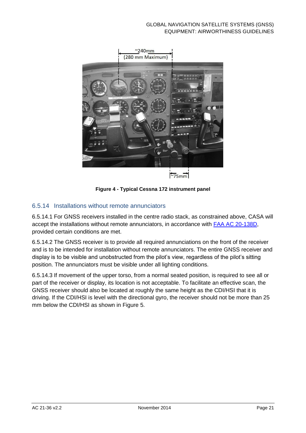

 $\approx$ 75mm



#### <span id="page-21-1"></span><span id="page-21-0"></span>6.5.14 Installations without remote annunciators

6.5.14.1 For GNSS receivers installed in the centre radio stack, as constrained above, CASA will accept the installations without remote annunciators, in accordance with [FAA AC 20-138D,](http://rgl.faa.gov/Regulatory_and_Guidance_Library/rgAdvisoryCircular.nsf/0/87bee4061f1c8d4086257caf006b0c2c/$FILE/20-138D.pdf) provided certain conditions are met.

6.5.14.2 The GNSS receiver is to provide all required annunciations on the front of the receiver and is to be intended for installation without remote annunciators. The entire GNSS receiver and display is to be visible and unobstructed from the pilot's view, regardless of the pilot's sitting position. The annunciators must be visible under all lighting conditions.

6.5.14.3 If movement of the upper torso, from a normal seated position, is required to see all or part of the receiver or display, its location is not acceptable. To facilitate an effective scan, the GNSS receiver should also be located at roughly the same height as the CDI/HSI that it is driving. If the CDI/HSI is level with the directional gyro, the receiver should not be more than 25 mm below the CDI/HSI as shown in [Figure 5.](#page-22-0)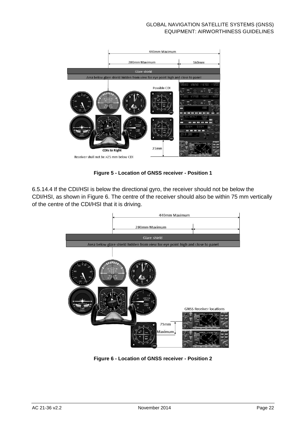

**Figure 5 - Location of GNSS receiver - Position 1**

<span id="page-22-0"></span>6.5.14.4 If the CDI/HSI is below the directional gyro, the receiver should not be below the CDI/HSI, as shown in [Figure 6.](#page-22-1) The centre of the receiver should also be within 75 mm vertically of the centre of the CDI/HSI that it is driving.

<span id="page-22-1"></span>

**Figure 6 - Location of GNSS receiver - Position 2**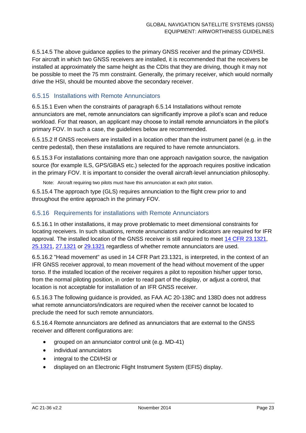6.5.14.5 The above guidance applies to the primary GNSS receiver and the primary CDI/HSI. For aircraft in which two GNSS receivers are installed, it is recommended that the receivers be installed at approximately the same height as the CDIs that they are driving, though it may not be possible to meet the 75 mm constraint. Generally, the primary receiver, which would normally drive the HSI, should be mounted above the secondary receiver.

#### 6.5.15 Installations with Remote Annunciators

6.5.15.1 Even when the constraints of paragraph [6.5.14](#page-21-1) [Installations without remote](#page-21-1)  [annunciators](#page-21-1) are met, remote annunciators can significantly improve a pilot's scan and reduce workload. For that reason, an applicant may choose to install remote annunciators in the pilot's primary FOV. In such a case, the guidelines below are recommended.

6.5.15.2 If GNSS receivers are installed in a location other than the instrument panel (e.g. in the centre pedestal), then these installations are required to have remote annunciators.

6.5.15.3 For installations containing more than one approach navigation source, the navigation source (for example ILS, GPS/GBAS etc.) selected for the approach requires positive indication in the primary FOV. It is important to consider the overall aircraft-level annunciation philosophy.

Note: Aircraft requiring two pilots must have this annunciation at each pilot station.

6.5.15.4 The approach type (GLS) requires annunciation to the flight crew prior to and throughout the entire approach in the primary FOV.

#### 6.5.16 Requirements for installations with Remote Annunciators

6.5.16.1 In other installations, it may prove problematic to meet dimensional constraints for locating receivers. In such situations, remote annunciators and/or indicators are required for IFR approval. The installed location of the GNSS receiver is still required to meet 14 CFR [23.1321,](http://rgl.faa.gov/Regulatory_and_Guidance_Library/rgFAR.nsf/0/C084EC3CA739D74885256687007241EA?OpenDocument) [25.1321,](http://rgl.faa.gov/Regulatory_and_Guidance_Library/rgFAR.nsf/0/282FCC44E87B665485256673004D3FBF?OpenDocument) [27.1321](http://rgl.faa.gov/Regulatory_and_Guidance_Library/rgFAR.nsf/0/B1863527CF6C0B6D852565F6006F5B22?OpenDocument) or [29.1321](http://rgl.faa.gov/Regulatory_and_Guidance_Library/rgFAR.nsf/0/00FC4558077CFF4785256613006D9A8D?OpenDocument) regardless of whether remote annunciators are used.

6.5.16.2 "Head movement" as used in 14 CFR Part 23.1321, is interpreted, in the context of an IFR GNSS receiver approval, to mean movement of the head without movement of the upper torso. If the installed location of the receiver requires a pilot to reposition his/her upper torso, from the normal piloting position, in order to read part of the display, or adjust a control, that location is not acceptable for installation of an IFR GNSS receiver.

6.5.16.3 The following guidance is provided, as FAA AC 20-138C and 138D does not address what remote annunciators/indicators are required when the receiver cannot be located to preclude the need for such remote annunciators.

6.5.16.4 Remote annunciators are defined as annunciators that are external to the GNSS receiver and different configurations are:

- grouped on an annunciator control unit (e.g. MD-41)
- individual annunciators
- integral to the CDI/HSI or
- displayed on an Electronic Flight Instrument System (EFIS) display.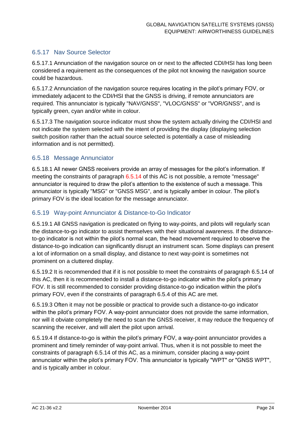#### 6.5.17 Nav Source Selector

6.5.17.1 Annunciation of the navigation source on or next to the affected CDI/HSI has long been considered a requirement as the consequences of the pilot not knowing the navigation source could be hazardous.

6.5.17.2 Annunciation of the navigation source requires locating in the pilot's primary FOV, or immediately adjacent to the CDI/HSI that the GNSS is driving, if remote annunciators are required. This annunciator is typically "NAV/GNSS", "VLOC/GNSS" or "VOR/GNSS", and is typically green, cyan and/or white in colour.

6.5.17.3 The navigation source indicator must show the system actually driving the CDI/HSI and not indicate the system selected with the intent of providing the display (displaying selection switch position rather than the actual source selected is potentially a case of misleading information and is not permitted).

#### 6.5.18 Message Annunciator

6.5.18.1 All newer GNSS receivers provide an array of messages for the pilot's information. If meeting the constraints of paragraph [6.5.14](#page-21-1) of this AC is not possible, a remote "message" annunciator is required to draw the pilot's attention to the existence of such a message. This annunciator is typically "MSG" or "GNSS MSG", and is typically amber in colour. The pilot's primary FOV is the ideal location for the message annunciator.

#### 6.5.19 Way-point Annunciator & Distance-to-Go Indicator

6.5.19.1 All GNSS navigation is predicated on flying to way-points, and pilots will regularly scan the distance-to-go indicator to assist themselves with their situational awareness. If the distanceto-go indicator is not within the pilot's normal scan, the head movement required to observe the distance-to-go indication can significantly disrupt an instrument scan. Some displays can present a lot of information on a small display, and distance to next way-point is sometimes not prominent on a cluttered display.

6.5.19.2 It is recommended that if it is not possible to meet the constraints of paragraph [6.5.14](#page-21-1) of this AC, then it is recommended to install a distance-to-go indicator within the pilot's primary FOV. It is still recommended to consider providing distance-to-go indication within the pilot's primary FOV, even if the constraints of paragraph 6.5.4 of this AC are met.

6.5.19.3 Often it may not be possible or practical to provide such a distance-to-go indicator within the pilot's primary FOV. A way-point annunciator does not provide the same information, nor will it obviate completely the need to scan the GNSS receiver, it may reduce the frequency of scanning the receiver, and will alert the pilot upon arrival.

6.5.19.4 If distance-to-go is within the pilot's primary FOV, a way-point annunciator provides a prominent and timely reminder of way-point arrival. Thus, when it is not possible to meet the constraints of paragraph [6.5.14](#page-21-1) of this AC, as a minimum, consider placing a way-point annunciator within the pilot's primary FOV. This annunciator is typically "WPT" or "GNSS WPT", and is typically amber in colour.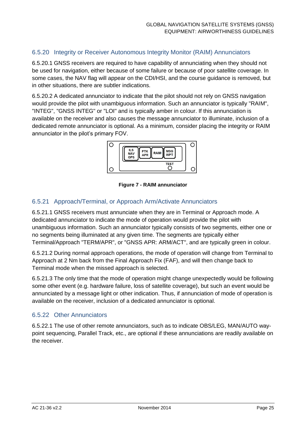#### 6.5.20 Integrity or Receiver Autonomous Integrity Monitor (RAIM) Annunciators

6.5.20.1 GNSS receivers are required to have capability of annunciating when they should not be used for navigation, either because of some failure or because of poor satellite coverage. In some cases, the NAV flag will appear on the CDI/HSI, and the course guidance is removed, but in other situations, there are subtler indications.

6.5.20.2 A dedicated annunciator to indicate that the pilot should not rely on GNSS navigation would provide the pilot with unambiguous information. Such an annunciator is typically "RAIM", "INTEG", "GNSS INTEG" or "LOI" and is typically amber in colour. If this annunciation is available on the receiver and also causes the message annunciator to illuminate, inclusion of a dedicated remote annunciator is optional. As a minimum, consider placing the integrity or RAIM annunciator in the pilot's primary FOV.



**Figure 7 - RAIM annunciator**

#### 6.5.21 Approach/Terminal, or Approach Arm/Activate Annunciators

6.5.21.1 GNSS receivers must annunciate when they are in Terminal or Approach mode. A dedicated annunciator to indicate the mode of operation would provide the pilot with unambiguous information. Such an annunciator typically consists of two segments, either one or no segments being illuminated at any given time. The segments are typically either Terminal/Approach "TERM/APR", or "GNSS APR: ARM/ACT", and are typically green in colour.

6.5.21.2 During normal approach operations, the mode of operation will change from Terminal to Approach at 2 Nm back from the Final Approach Fix (FAF), and will then change back to Terminal mode when the missed approach is selected.

6.5.21.3 The only time that the mode of operation might change unexpectedly would be following some other event (e.g. hardware failure, loss of satellite coverage), but such an event would be annunciated by a message light or other indication. Thus, if annunciation of mode of operation is available on the receiver, inclusion of a dedicated annunciator is optional.

#### 6.5.22 Other Annunciators

6.5.22.1 The use of other remote annunciators, such as to indicate OBS/LEG, MAN/AUTO waypoint sequencing, Parallel Track, etc., are optional if these annunciations are readily available on the receiver.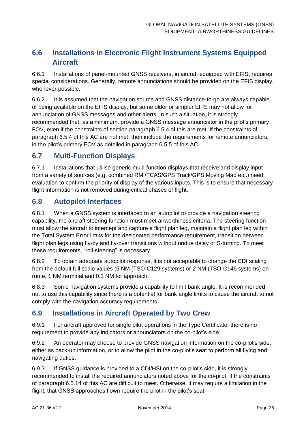### <span id="page-26-0"></span>**6.6 Installations in Electronic Flight Instrument Systems Equipped Aircraft**

6.6.1 Installations of panel-mounted GNSS receivers, in aircraft equipped with EFIS, requires special considerations. Generally, remote annunciations should be provided on the EFIS display, whenever possible.

6.6.2 It is assumed that the navigation source and GNSS distance-to-go are always capable of being available on the EFIS display, but some older or simpler EFIS may not allow for annunciation of GNSS messages and other alerts. In such a situation, it is strongly recommended that, as a minimum, provide a GNSS message annunciator in the pilot's primary FOV, even if the constraints of section paragraph 6.5.4 of this are met. If the constraints of paragraph 6.5.4 of this AC are not met, then include the requirements for remote annunciators, in the pilot's primary FOV as detailed in paragraph 6.5.5 of this AC.

#### <span id="page-26-1"></span>**6.7 Multi-Function Displays**

6.7.1 Installations that utilise generic multi-function displays that receive and display input from a variety of sources (e.g. combined RMI/TCAS/GPS Track/GPS Moving Map etc.) need evaluation to confirm the priority of display of the various inputs. This is to ensure that necessary flight information is not removed during critical phases of flight.

#### <span id="page-26-2"></span>**6.8 Autopilot Interfaces**

6.8.1 When a GNSS system is interfaced to an autopilot to provide a navigation steering capability, the aircraft steering function must meet airworthiness criteria. The steering function must allow the aircraft to intercept and capture a flight plan leg, maintain a flight plan leg within the Total System Error limits for the designated performance requirement, transition between flight plan legs using fly-by and fly-over transitions without undue delay or S-turning. To meet these requirements, "roll-steering" is necessary.

6.8.2 To obtain adequate autopilot response, it is not acceptable to change the CDI scaling from the default full scale values (5 NM (TSO-C129 systems) or 2 NM (TSO-C146 systems) en route, 1 NM terminal and 0.3 NM for approach.

6.8.3 Some navigation systems provide a capability to limit bank angle. It is recommended not to use this capability since there is a potential for bank angle limits to cause the aircraft to not comply with the navigation accuracy requirements.

#### <span id="page-26-3"></span>**6.9 Installations in Aircraft Operated by Two Crew**

6.9.1 For aircraft approved for single pilot operations in the Type Certificate, there is no requirement to provide any indicators or annunciators on the co-pilot's side.

6.9.2 An operator may choose to provide GNSS navigation information on the co-pilot's side, either as back-up information, or to allow the pilot in the co-pilot's seat to perform all flying and navigating duties.

6.9.3 If GNSS guidance is provided to a CDI/HSI on the co-pilot's side, it is strongly recommended to install the required annunciators noted above for the co-pilot, if the constraints of paragraph [6.5.14](#page-21-1) of this AC are difficult to meet. Otherwise, it may require a limitation in the flight, that GNSS approaches flown require the pilot in the pilot's seat.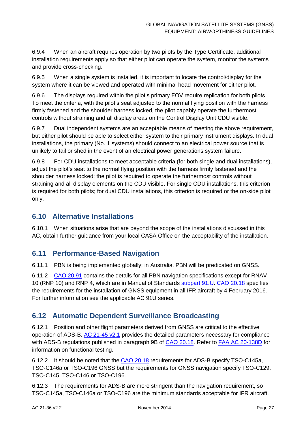6.9.4 When an aircraft requires operation by two pilots by the Type Certificate, additional installation requirements apply so that either pilot can operate the system, monitor the systems and provide cross-checking.

6.9.5 When a single system is installed, it is important to locate the control/display for the system where it can be viewed and operated with minimal head movement for either pilot.

6.9.6 The displays required within the pilot's primary FOV require replication for both pilots. To meet the criteria, with the pilot's seat adjusted to the normal flying position with the harness firmly fastened and the shoulder harness locked, the pilot capably operate the furthermost controls without straining and all display areas on the Control Display Unit CDU visible.

6.9.7 Dual independent systems are an acceptable means of meeting the above requirement, but either pilot should be able to select either system to their primary instrument displays. In dual installations, the primary (No. 1 systems) should connect to an electrical power source that is unlikely to fail or shed in the event of an electrical power generations system failure.

6.9.8 For CDU installations to meet acceptable criteria (for both single and dual installations), adjust the pilot's seat to the normal flying position with the harness firmly fastened and the shoulder harness locked; the pilot is required to operate the furthermost controls without straining and all display elements on the CDU visible. For single CDU installations, this criterion is required for both pilots; for dual CDU installations, this criterion is required or the on-side pilot only.

#### <span id="page-27-0"></span>**6.10 Alternative Installations**

6.10.1 When situations arise that are beyond the scope of the installations discussed in this AC, obtain further guidance from your local CASA Office on the acceptability of the installation.

#### <span id="page-27-1"></span>**6.11 Performance-Based Navigation**

6.11.1 PBN is being implemented globally; in Australia, PBN will be predicated on GNSS.

6.11.2 [CAO 20.91](http://www.comlaw.gov.au/Details/F2012L01570) contains the details for all PBN navigation specifications except for RNAV 10 (RNP 10) and RNP 4, which are in Manual of Standards [subpart 91.U.](http://www.comlaw.gov.au/Details/F2005L04061) [CAO 20.18](http://www.comlaw.gov.au/Details/F2013C00121) specifies the requirements for the installation of GNSS equipment in all IFR aircraft by 4 February 2016. For further information see the applicable AC 91U series.

#### <span id="page-27-2"></span>**6.12 Automatic Dependent Surveillance Broadcasting**

6.12.1 Position and other flight parameters derived from GNSS are critical to the effective operation of ADS-B. [AC 21-45](http://www.casa.gov.au/wcmswr/_assets/main/rules/1998casr/021/021c45.pdf) v2.1 provides the detailed parameters necessary for compliance with ADS-B regulations published in paragraph 9B of [CAO 20.18.](http://www.comlaw.gov.au/Details/F2013C00121) Refer to [FAA AC 20-138D](http://rgl.faa.gov/Regulatory_and_Guidance_Library/rgAdvisoryCircular.nsf/0/87bee4061f1c8d4086257caf006b0c2c/$FILE/20-138D.pdf) for information on functional testing.

6.12.2 It should be noted that the [CAO 20.18](http://www.comlaw.gov.au/Details/F2013C00121) requirements for ADS-B specify TSO-C145a, TSO-C146a or TSO-C196 GNSS but the requirements for GNSS navigation specify TSO-C129, TSO-C145, TSO-C146 or TSO-C196.

6.12.3 The requirements for ADS-B are more stringent than the navigation requirement, so TSO-C145a, TSO-C146a or TSO-C196 are the minimum standards acceptable for IFR aircraft.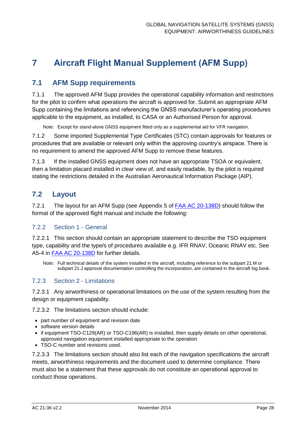## <span id="page-28-0"></span>**7 Aircraft Flight Manual Supplement (AFM Supp)**

#### <span id="page-28-1"></span>**7.1 AFM Supp requirements**

7.1.1 The approved AFM Supp provides the operational capability information and restrictions for the pilot to confirm what operations the aircraft is approved for. Submit an appropriate AFM Supp containing the limitations and referencing the GNSS manufacturer's operating procedures applicable to the equipment, as installed, to CASA or an Authorised Person for approval.

Note: Except for stand-alone GNSS equipment fitted only as a supplemental aid for VFR navigation.

7.1.2 Some imported Supplemental Type Certificates (STC) contain approvals for features or procedures that are available or relevant only within the approving country's airspace. There is no requirement to amend the approved AFM Supp to remove these features.

7.1.3 If the installed GNSS equipment does not have an appropriate TSOA or equivalent, then a limitation placard installed in clear view of, and easily readable, by the pilot is required stating the restrictions detailed in the Australian Aeronautical Information Package (AIP).

#### <span id="page-28-2"></span>**7.2 Layout**

7.2.1 The layout for an AFM Supp (see Appendix 5 of **FAA AC 20-138D)** should follow the format of the approved flight manual and include the following:

#### 7.2.2 Section 1 - General

7.2.2.1 This section should contain an appropriate statement to describe the TSO equipment type, capability and the type/s of procedures available e.g. IFR RNAV, Oceanic RNAV etc. See A5-4 in [FAA AC 20-138D](http://rgl.faa.gov/Regulatory_and_Guidance_Library/rgAdvisoryCircular.nsf/0/87bee4061f1c8d4086257caf006b0c2c/$FILE/20-138D.pdf) for further details.

Note: Full technical details of the system installed in the aircraft, including reference to the subpart 21.M or subpart 21.J approval documentation controlling the incorporation, are contained in the aircraft log book.

#### 7.2.3 Section 2 - Limitations

7.2.3.1 Any airworthiness or operational limitations on the use of the system resulting from the design or equipment capability.

7.2.3.2 The limitations section should include:

- part number of equipment and revision date
- software version details
- if equipment TSO-C129(AR) or TSO-C196(AR) is installed, then supply details on other operational, approved navigation equipment installed appropriate to the operation
- TSO-C number and revisions used.

7.2.3.3 The limitations section should also list each of the navigation specifications the aircraft meets, airworthiness requirements and the document used to determine compliance. There must also be a statement that these approvals do not constitute an operational approval to conduct those operations.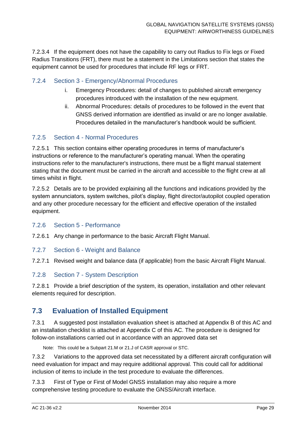7.2.3.4 If the equipment does not have the capability to carry out Radius to Fix legs or Fixed Radius Transitions (FRT), there must be a statement in the Limitations section that states the equipment cannot be used for procedures that include RF legs or FRT.

#### 7.2.4 Section 3 - Emergency/Abnormal Procedures

- i. Emergency Procedures: detail of changes to published aircraft emergency procedures introduced with the installation of the new equipment.
- ii. Abnormal Procedures: details of procedures to be followed in the event that GNSS derived information are identified as invalid or are no longer available. Procedures detailed in the manufacturer's handbook would be sufficient.

#### 7.2.5 Section 4 - Normal Procedures

7.2.5.1 This section contains either operating procedures in terms of manufacturer's instructions or reference to the manufacturer's operating manual. When the operating instructions refer to the manufacturer's instructions, there must be a flight manual statement stating that the document must be carried in the aircraft and accessible to the flight crew at all times whilst in flight.

7.2.5.2 Details are to be provided explaining all the functions and indications provided by the system annunciators, system switches, pilot's display, flight director/autopilot coupled operation and any other procedure necessary for the efficient and effective operation of the installed equipment.

#### 7.2.6 Section 5 - Performance

7.2.6.1 Any change in performance to the basic Aircraft Flight Manual.

#### 7.2.7 Section 6 - Weight and Balance

7.2.7.1 Revised weight and balance data (if applicable) from the basic Aircraft Flight Manual.

#### 7.2.8 Section 7 - System Description

7.2.8.1 Provide a brief description of the system, its operation, installation and other relevant elements required for description.

#### <span id="page-29-0"></span>**7.3 Evaluation of Installed Equipment**

7.3.1 A suggested post installation evaluation sheet is attached at [Appendix B](#page-33-0) of this AC and an installation checklist is attached at [Appendix C](#page-35-0) of this AC. The procedure is designed for follow-on installations carried out in accordance with an approved data set

Note: This could be a Subpart 21.M or 21.J of CASR approval or STC.

7.3.2 Variations to the approved data set necessitated by a different aircraft configuration will need evaluation for impact and may require additional approval. This could call for additional inclusion of items to include in the test procedure to evaluate the differences.

7.3.3 First of Type or First of Model GNSS installation may also require a more comprehensive testing procedure to evaluate the GNSS/Aircraft interface.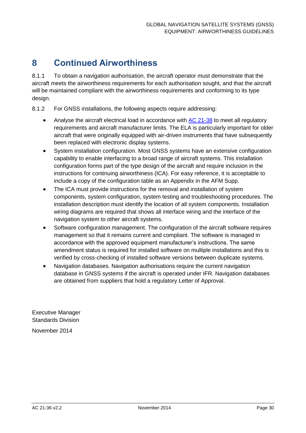## <span id="page-30-0"></span>**8 Continued Airworthiness**

8.1.1 To obtain a navigation authorisation, the aircraft operator must demonstrate that the aircraft meets the airworthiness requirements for each authorisation sought, and that the aircraft will be maintained compliant with the airworthiness requirements and conforming to its type design.

8.1.2 For GNSS installations, the following aspects require addressing:

- Analyse the aircraft electrical load in accordance with  $AC$  21-38 to meet all regulatory requirements and aircraft manufacturer limits. The ELA is particularly important for older aircraft that were originally equipped with air-driven instruments that have subsequently been replaced with electronic display systems.
- System installation configuration. Most GNSS systems have an extensive configuration capability to enable interfacing to a broad range of aircraft systems. This installation configuration forms part of the type design of the aircraft and require inclusion in the instructions for continuing airworthiness (ICA). For easy reference, it is acceptable to include a copy of the configuration table as an Appendix in the AFM Supp.
- The ICA must provide instructions for the removal and installation of system components, system configuration, system testing and troubleshooting procedures. The installation description must identify the location of all system components. Installation wiring diagrams are required that shows all interface wiring and the interface of the navigation system to other aircraft systems.
- Software configuration management. The configuration of the aircraft software requires management so that it remains current and compliant. The software is managed in accordance with the approved equipment manufacturer's instructions. The same amendment status is required for installed software on multiple installations and this is verified by cross-checking of installed software versions between duplicate systems.
- Navigation databases. Navigation authorisations require the current navigation database in GNSS systems if the aircraft is operated under IFR. Navigation databases are obtained from suppliers that hold a regulatory Letter of Approval.

Executive Manager Standards Division November 2014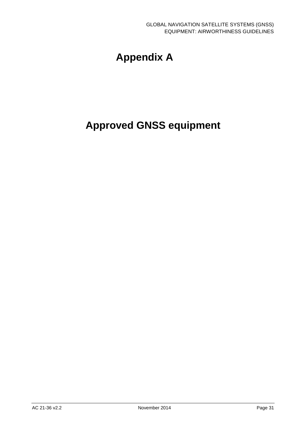## **Appendix A**

## <span id="page-31-0"></span>**Approved GNSS equipment**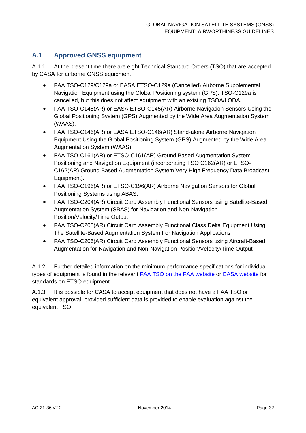#### **A.1 Approved GNSS equipment**

A.1.1 At the present time there are eight Technical Standard Orders (TSO) that are accepted by CASA for airborne GNSS equipment:

- FAA TSO-C129/C129a or EASA ETSO-C129a (Cancelled) Airborne Supplemental Navigation Equipment using the Global Positioning system (GPS). TSO-C129a is cancelled, but this does not affect equipment with an existing TSOA/LODA.
- FAA TSO-C145(AR) or EASA ETSO-C145(AR) Airborne Navigation Sensors Using the Global Positioning System (GPS) Augmented by the Wide Area Augmentation System (WAAS).
- FAA TSO-C146(AR) or EASA ETSO-C146(AR) Stand-alone Airborne Navigation Equipment Using the Global Positioning System (GPS) Augmented by the Wide Area Augmentation System (WAAS).
- FAA TSO-C161(AR) or ETSO-C161(AR) Ground Based Augmentation System Positioning and Navigation Equipment (incorporating TSO C162(AR) or ETSO-C162(AR) Ground Based Augmentation System Very High Frequency Data Broadcast Equipment).
- FAA TSO-C196(AR) or ETSO-C196(AR) Airborne Navigation Sensors for Global Positioning Systems using ABAS.
- FAA TSO-C204(AR) Circuit Card Assembly Functional Sensors using Satellite-Based Augmentation System (SBAS) for Navigation and Non-Navigation Position/Velocity/Time Output
- FAA TSO-C205(AR) Circuit Card Assembly Functional Class Delta Equipment Using The Satellite-Based Augmentation System For Navigation Applications
- FAA TSO-C206(AR) Circuit Card Assembly Functional Sensors using Aircraft-Based Augmentation for Navigation and Non-Navigation Position/Velocity/Time Output

A.1.2 Further detailed information on the minimum performance specifications for individual types of equipment is found in the relevant [FAA TSO on the FAA website](http://rgl.faa.gov/Regulatory_and_Guidance_Library/rgTSO.nsf/MainFrame?OpenFrameset) or [EASA website](http://easa.europa.eu/system/files/dfu/agency-measures-docs-certification-specifications-CS-ETSO-ETSO-Index.xls) for standards on ETSO equipment.

A.1.3 It is possible for CASA to accept equipment that does not have a FAA TSO or equivalent approval, provided sufficient data is provided to enable evaluation against the equivalent TSO.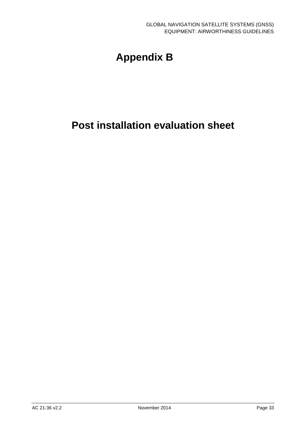## **Appendix B**

## <span id="page-33-0"></span>**Post installation evaluation sheet**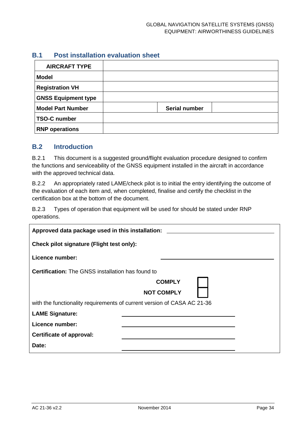#### **B.1 Post installation evaluation sheet**

| <b>AIRCRAFT TYPE</b>       |                      |  |
|----------------------------|----------------------|--|
| <b>Model</b>               |                      |  |
| <b>Registration VH</b>     |                      |  |
| <b>GNSS Equipment type</b> |                      |  |
| <b>Model Part Number</b>   | <b>Serial number</b> |  |
| <b>TSO-C number</b>        |                      |  |
| <b>RNP operations</b>      |                      |  |

#### **B.2 Introduction**

B.2.1 This document is a suggested ground/flight evaluation procedure designed to confirm the functions and serviceability of the GNSS equipment installed in the aircraft in accordance with the approved technical data.

B.2.2 An appropriately rated LAME/check pilot is to initial the entry identifying the outcome of the evaluation of each item and, when completed, finalise and certify the checklist in the certification box at the bottom of the document.

B.2.3 Types of operation that equipment will be used for should be stated under RNP operations.

| Approved data package used in this installation:                        |                   |  |  |  |
|-------------------------------------------------------------------------|-------------------|--|--|--|
| Check pilot signature (Flight test only):                               |                   |  |  |  |
| Licence number:                                                         |                   |  |  |  |
| <b>Certification:</b> The GNSS installation has found to                |                   |  |  |  |
|                                                                         | <b>COMPLY</b>     |  |  |  |
|                                                                         | <b>NOT COMPLY</b> |  |  |  |
| with the functionality requirements of current version of CASA AC 21-36 |                   |  |  |  |
| <b>LAME Signature:</b>                                                  |                   |  |  |  |
| Licence number:                                                         |                   |  |  |  |
| Certificate of approval:                                                |                   |  |  |  |
| Date:                                                                   |                   |  |  |  |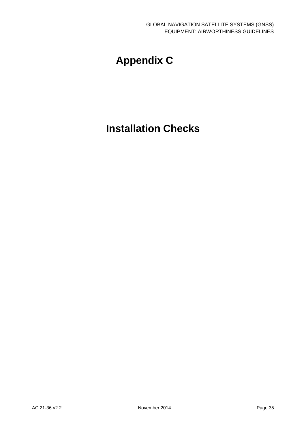## **Appendix C**

## <span id="page-35-0"></span>**Installation Checks**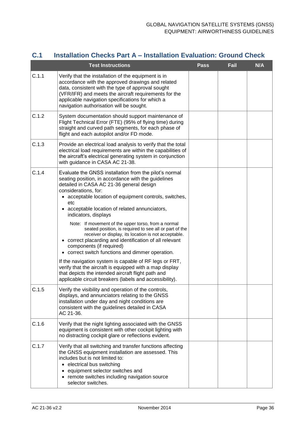#### **C.1 Installation Checks Part A – Installation Evaluation: Ground Check**

|       | <b>Test Instructions</b>                                                                                                                                                                                                                                                                                                                                                                                                                                                                                                                                                                                                                                                                                                                                                                                                                                                               | <b>Pass</b> | Fail | <b>N/A</b> |
|-------|----------------------------------------------------------------------------------------------------------------------------------------------------------------------------------------------------------------------------------------------------------------------------------------------------------------------------------------------------------------------------------------------------------------------------------------------------------------------------------------------------------------------------------------------------------------------------------------------------------------------------------------------------------------------------------------------------------------------------------------------------------------------------------------------------------------------------------------------------------------------------------------|-------------|------|------------|
| C.1.1 | Verify that the installation of the equipment is in<br>accordance with the approved drawings and related<br>data, consistent with the type of approval sought<br>(VFR/IFR) and meets the aircraft requirements for the<br>applicable navigation specifications for which a<br>navigation authorisation will be sought.                                                                                                                                                                                                                                                                                                                                                                                                                                                                                                                                                                 |             |      |            |
| C.1.2 | System documentation should support maintenance of<br>Flight Technical Error (FTE) (95% of flying time) during<br>straight and curved path segments, for each phase of<br>flight and each autopilot and/or FD mode.                                                                                                                                                                                                                                                                                                                                                                                                                                                                                                                                                                                                                                                                    |             |      |            |
| C.1.3 | Provide an electrical load analysis to verify that the total<br>electrical load requirements are within the capabilities of<br>the aircraft's electrical generating system in conjunction<br>with guidance in CASA AC 21-38.                                                                                                                                                                                                                                                                                                                                                                                                                                                                                                                                                                                                                                                           |             |      |            |
| C.1.4 | Evaluate the GNSS installation from the pilot's normal<br>seating position, in accordance with the guidelines<br>detailed in CASA AC 21-36 general design<br>considerations, for:<br>• acceptable location of equipment controls, switches,<br>etc<br>• acceptable location of related annunciators,<br>indicators, displays<br>Note: If movement of the upper torso, from a normal<br>seated position, is required to see all or part of the<br>receiver or display, its location is not acceptable.<br>• correct placarding and identification of all relevant<br>components (if required)<br>• correct switch functions and dimmer operation.<br>If the navigation system is capable of RF legs or FRT,<br>verify that the aircraft is equipped with a map display<br>that depicts the intended aircraft flight path and<br>applicable circuit breakers (labels and accessibility). |             |      |            |
| C.1.5 | Verify the visibility and operation of the controls,<br>displays, and annunciators relating to the GNSS<br>installation under day and night conditions are<br>consistent with the guidelines detailed in CASA<br>AC 21-36.                                                                                                                                                                                                                                                                                                                                                                                                                                                                                                                                                                                                                                                             |             |      |            |
| C.1.6 | Verify that the night lighting associated with the GNSS<br>equipment is consistent with other cockpit lighting with<br>no distracting cockpit glare or reflections evident.                                                                                                                                                                                                                                                                                                                                                                                                                                                                                                                                                                                                                                                                                                            |             |      |            |
| C.1.7 | Verify that all switching and transfer functions affecting<br>the GNSS equipment installation are assessed. This<br>includes but is not limited to:<br>• electrical bus switching<br>equipment selector switches and<br>• remote switches including navigation source<br>selector switches.                                                                                                                                                                                                                                                                                                                                                                                                                                                                                                                                                                                            |             |      |            |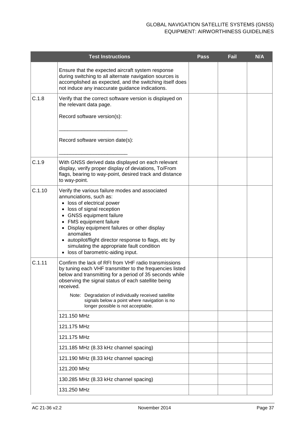|        | <b>Test Instructions</b>                                                                                                                                                                                                                                                                                                                                                                                 | <b>Pass</b> | Fail | <b>N/A</b> |
|--------|----------------------------------------------------------------------------------------------------------------------------------------------------------------------------------------------------------------------------------------------------------------------------------------------------------------------------------------------------------------------------------------------------------|-------------|------|------------|
|        | Ensure that the expected aircraft system response<br>during switching to all alternate navigation sources is<br>accomplished as expected, and the switching itself does<br>not induce any inaccurate guidance indications.                                                                                                                                                                               |             |      |            |
| C.1.8  | Verify that the correct software version is displayed on<br>the relevant data page.<br>Record software version(s):                                                                                                                                                                                                                                                                                       |             |      |            |
|        | Record software version date(s):                                                                                                                                                                                                                                                                                                                                                                         |             |      |            |
| C.1.9  | With GNSS derived data displayed on each relevant<br>display, verify proper display of deviations, To/From<br>flags, bearing to way-point, desired track and distance<br>to way-point.                                                                                                                                                                                                                   |             |      |            |
| C.1.10 | Verify the various failure modes and associated<br>annunciations, such as:<br>• loss of electrical power<br>• loss of signal reception<br>• GNSS equipment failure<br>• FMS equipment failure<br>• Display equipment failures or other display<br>anomalies<br>• autopilot/flight director response to flags, etc by<br>simulating the appropriate fault condition<br>• loss of barometric-aiding input. |             |      |            |
| C.1.11 | Confirm the lack of RFI from VHF radio transmissions<br>by tuning each VHF transmitter to the frequencies listed<br>below and transmitting for a period of 35 seconds while<br>observing the signal status of each satellite being<br>received.<br>Note: Degradation of individually received satellite<br>signals below a point where navigation is no<br>longer possible is not acceptable.            |             |      |            |
|        | 121.150 MHz                                                                                                                                                                                                                                                                                                                                                                                              |             |      |            |
|        | 121.175 MHz                                                                                                                                                                                                                                                                                                                                                                                              |             |      |            |
|        | 121.175 MHz                                                                                                                                                                                                                                                                                                                                                                                              |             |      |            |
|        | 121.185 MHz (8.33 kHz channel spacing)                                                                                                                                                                                                                                                                                                                                                                   |             |      |            |
|        | 121.190 MHz (8.33 kHz channel spacing)                                                                                                                                                                                                                                                                                                                                                                   |             |      |            |
|        | 121.200 MHz                                                                                                                                                                                                                                                                                                                                                                                              |             |      |            |
|        | 130.285 MHz (8.33 kHz channel spacing)                                                                                                                                                                                                                                                                                                                                                                   |             |      |            |
|        | 131.250 MHz                                                                                                                                                                                                                                                                                                                                                                                              |             |      |            |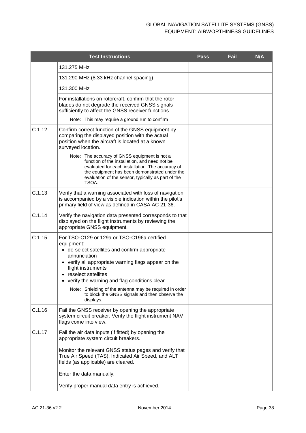|        | <b>Test Instructions</b>                                                                                                                                                                                                                                                                                                                                                               | <b>Pass</b> | Fail | <b>N/A</b> |
|--------|----------------------------------------------------------------------------------------------------------------------------------------------------------------------------------------------------------------------------------------------------------------------------------------------------------------------------------------------------------------------------------------|-------------|------|------------|
|        | 131.275 MHz                                                                                                                                                                                                                                                                                                                                                                            |             |      |            |
|        | 131.290 MHz (8.33 kHz channel spacing)                                                                                                                                                                                                                                                                                                                                                 |             |      |            |
|        | 131.300 MHz                                                                                                                                                                                                                                                                                                                                                                            |             |      |            |
|        | For installations on rotorcraft, confirm that the rotor<br>blades do not degrade the received GNSS signals<br>sufficiently to affect the GNSS receiver functions.                                                                                                                                                                                                                      |             |      |            |
|        | Note: This may require a ground run to confirm                                                                                                                                                                                                                                                                                                                                         |             |      |            |
| C.1.12 | Confirm correct function of the GNSS equipment by<br>comparing the displayed position with the actual<br>position when the aircraft is located at a known<br>surveyed location.<br>Note: The accuracy of GNSS equipment is not a<br>function of the installation, and need not be<br>evaluated for each installation. The accuracy of<br>the equipment has been demonstrated under the |             |      |            |
|        | evaluation of the sensor, typically as part of the<br>TSOA.                                                                                                                                                                                                                                                                                                                            |             |      |            |
| C.1.13 | Verify that a warning associated with loss of navigation<br>is accompanied by a visible indication within the pilot's<br>primary field of view as defined in CASA AC 21-36.                                                                                                                                                                                                            |             |      |            |
| C.1.14 | Verify the navigation data presented corresponds to that<br>displayed on the flight instruments by reviewing the<br>appropriate GNSS equipment.                                                                                                                                                                                                                                        |             |      |            |
| C.1.15 | For TSO-C129 or 129a or TSO-C196a certified<br>equipment:<br>• de-select satellites and confirm appropriate<br>annunciation<br>• verify all appropriate warning flags appear on the<br>flight instruments<br>• reselect satellites<br>• verify the warning and flag conditions clear.                                                                                                  |             |      |            |
|        | Note: Shielding of the antenna may be required in order<br>to block the GNSS signals and then observe the<br>displays.                                                                                                                                                                                                                                                                 |             |      |            |
| C.1.16 | Fail the GNSS receiver by opening the appropriate<br>system circuit breaker. Verify the flight instrument NAV<br>flags come into view.                                                                                                                                                                                                                                                 |             |      |            |
| C.1.17 | Fail the air data inputs (if fitted) by opening the<br>appropriate system circuit breakers.<br>Monitor the relevant GNSS status pages and verify that                                                                                                                                                                                                                                  |             |      |            |
|        | True Air Speed (TAS), Indicated Air Speed, and ALT<br>fields (as applicable) are cleared.                                                                                                                                                                                                                                                                                              |             |      |            |
|        | Enter the data manually.                                                                                                                                                                                                                                                                                                                                                               |             |      |            |
|        | Verify proper manual data entry is achieved.                                                                                                                                                                                                                                                                                                                                           |             |      |            |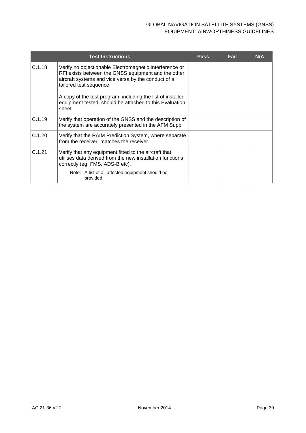|        | <b>Test Instructions</b>                                                                                                                                                                         | <b>Pass</b> | Fail | N/A |
|--------|--------------------------------------------------------------------------------------------------------------------------------------------------------------------------------------------------|-------------|------|-----|
| C.1.18 | Verify no objectionable Electromagnetic Interference or<br>RFI exists between the GNSS equipment and the other<br>aircraft systems and vice versa by the conduct of a<br>tailored test sequence. |             |      |     |
|        | A copy of the test program, including the list of installed<br>equipment tested, should be attached to this Evaluation<br>sheet.                                                                 |             |      |     |
| C.1.19 | Verify that operation of the GNSS and the description of<br>the system are accurately presented in the AFM Supp.                                                                                 |             |      |     |
| C.1.20 | Verify that the RAIM Prediction System, where separate<br>from the receiver, matches the receiver.                                                                                               |             |      |     |
| C.1.21 | Verify that any equipment fitted to the aircraft that<br>utilises data derived from the new installation functions<br>correctly (eg. FMS, ADS-B etc).                                            |             |      |     |
|        | Note: A list of all affected equipment should be<br>provided.                                                                                                                                    |             |      |     |